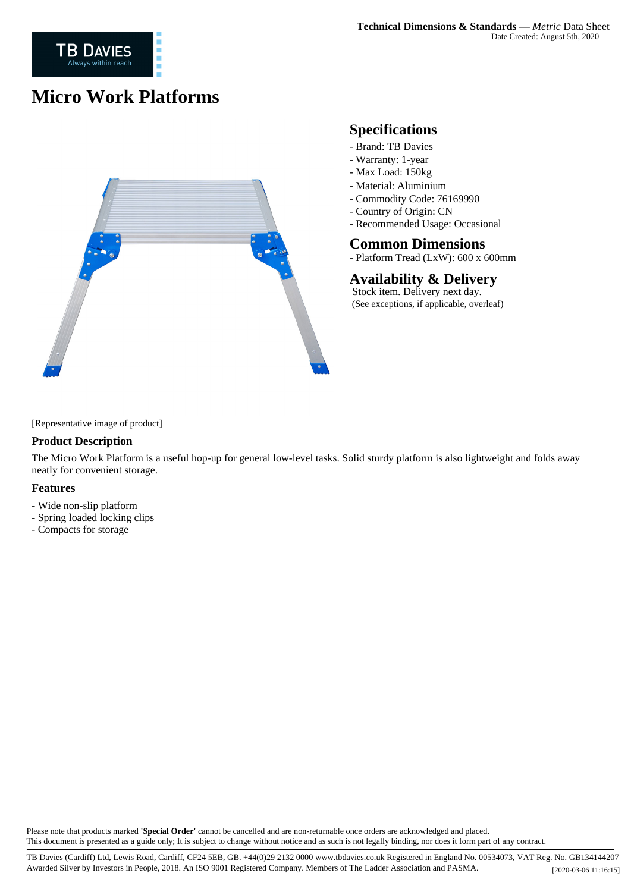## **Micro Work Platforms**



## **Specifications**

- Brand: TB Davies
- Warranty: 1-year
- Max Load: 150kg
- Material: Aluminium
- Commodity Code: 76169990
- Country of Origin: CN
- Recommended Usage: Occasional

### **Common Dimensions**

- Platform Tread (LxW): 600 x 600mm

### **Availability & Delivery**

 Stock item. Delivery next day. (See exceptions, if applicable, overleaf)

[Representative image of product]

#### **Product Description**

The Micro Work Platform is a useful hop-up for general low-level tasks. Solid sturdy platform is also lightweight and folds away neatly for convenient storage.

#### **Features**

- Wide non-slip platform
- Spring loaded locking clips
- Compacts for storage

Please note that products marked **'Special Order'** cannot be cancelled and are non-returnable once orders are acknowledged and placed. This document is presented as a guide only; It is subject to change without notice and as such is not legally binding, nor does it form part of any contract.